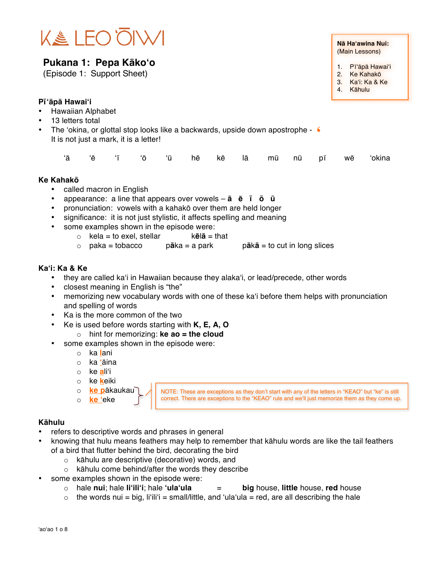

## **Pukana 1: Pepa Kākoʻo**

(Episode 1: Support Sheet)

## **Pīʻāpā Hawaiʻi**

- Hawaiian Alphabet
- 13 letters total
- The 'okina, or glottal stop looks like a backwards, upside down apostrophe  $\epsilon$ <br>It is not just a mark, it is a letter! It is not just a mark, it is a letter!

|  |  |  |  |  |  |  |  |  |  |  |  | 'ā 'ē 'ī 'ō 'ū hē kē lā mū nū pī wē 'okina |
|--|--|--|--|--|--|--|--|--|--|--|--|--------------------------------------------|
|--|--|--|--|--|--|--|--|--|--|--|--|--------------------------------------------|

#### **Ke Kahakō**

- called macron in English
- appearance: a line that appears over vowels **ā ē ī ō ū**
- pronunciation: vowels with a kahakō over them are held longer
- significance: it is not just stylistic, it affects spelling and meaning
- some examples shown in the episode were:
	- o kela = to exel, stellar k**ēlā** = that<br>o paka = tobacco p**ā**ka = a park
	- o paka = tobacco p**ā**ka = a park p**ā**k**ā** = to cut in long slices

### **Kaʻi: Ka & Ke**

- they are called kaʻi in Hawaiian because they alakaʻi, or lead/precede, other words
- closest meaning in English is "the"
- memorizing new vocabulary words with one of these kaʻi before them helps with pronunciation and spelling of words
- Ka is the more common of the two
	- Ke is used before words starting with **K, E, A, O**
		- o hint for memorizing: **ke ao = the cloud**
- some examples shown in the episode were:
	- o ka **l**ani
	- o ka **ʻ**āina
	- o ke **a**liʻi
	- o ke **k**eiki
	- o **ke p**ākaukau
	- o **ke ʻ**eke

NOTE: These are exceptions as they don't start with any of the letters in "KEAO" but "ke" is still correct. There are exceptions to the "KEAO" rule and we'll just memorize them as they come up.

#### **Kāhulu**

- refers to descriptive words and phrases in general
- knowing that hulu means feathers may help to remember that kāhulu words are like the tail feathers of a bird that flutter behind the bird, decorating the bird
	- o kāhulu are descriptive (decorative) words, and
	- o kāhulu come behind/after the words they describe
- some examples shown in the episode were:
	- o hale **nui**; hale **liʻiliʻi**; hale **ʻulaʻula** = **big** house, **little** house, **red** house
	- $\circ$  the words nui = big, li'ili'i = small/little, and 'ula'ula = red, are all describing the hale

**Nā Haʻawina Nui:** (Main Lessons)

- 1. Pīʻāpā Hawaiʻi
- 2. Ke Kahakō
- 3. Kaʻi: Ka & Ke
- 4. Kāhulu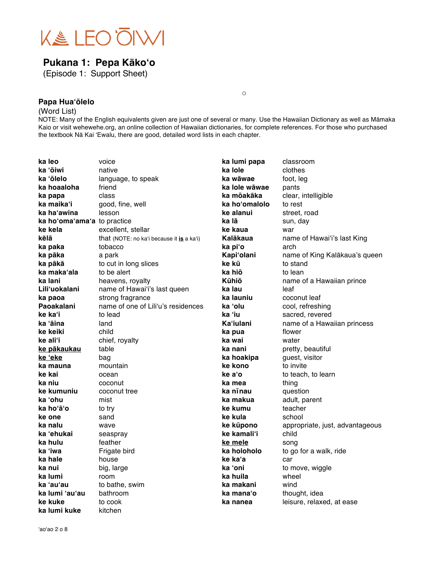

# **Pukana 1: Pepa Kākoʻo**

(Episode 1: Support Sheet)

### **Papa Huaʻōlelo**

#### (Word List)

NOTE: Many of the English equivalents given are just one of several or many. Use the Hawaiian Dictionary as well as Māmaka Kaio or visit wehewehe.org, an online collection of Hawaiian dictionaries, for complete references. For those who purchased the textbook Nā Kai ʻEwalu, there are good, detailed word lists in each chapter.

o

| ka leo                      | voice                                     | ka lumi papa   | classroom                       |
|-----------------------------|-------------------------------------------|----------------|---------------------------------|
| ka 'ōiwi                    | native                                    | ka lole        | clothes                         |
| ka 'ōlelo                   | language, to speak                        | ka wāwae       | foot, leg                       |
| ka hoaaloha                 | friend                                    | ka lole wāwae  | pants                           |
| ka papa                     | class                                     | ka mōakāka     | clear, intelligible             |
| ka maika'i                  | good, fine, well                          | ka hoʻomalolo  | to rest                         |
| ka haʻawina                 | lesson                                    | ke alanui      | street, road                    |
| ka ho'oma'ama'a to practice |                                           | ka lā          | sun, day                        |
| ke kela                     | excellent, stellar                        | ke kaua        | war                             |
| kēlā                        | that (NOTE: no ka'i because it is a ka'i) | Kalākaua       | name of Hawai'i's last King     |
| ka paka                     | tobacco                                   | ka pi'o        | arch                            |
| ka pāka                     | a park                                    | Kapi'olani     | name of King Kalākaua's queen   |
| ka pākā                     | to cut in long slices                     | ke kū          | to stand                        |
| ka maka'ala                 | to be alert                               | ka hiō         | to lean                         |
| ka lani                     | heavens, royalty                          | Kūhiō          | name of a Hawaiian prince       |
| Liliʻuokalani               | name of Hawai'i's last queen              | ka lau         | leaf                            |
| ka paoa                     | strong fragrance                          | ka launiu      | coconut leaf                    |
| Paoakalani                  | name of one of Lili'u's residences        | ka 'olu        | cool, refreshing                |
| ke kaʻi                     | to lead                                   | ka 'iu         | sacred, revered                 |
| ka 'āina                    | land                                      | Kaʻiulani      | name of a Hawaiian princess     |
| ke keiki                    | child                                     | ka pua         | flower                          |
| ke aliʻi                    | chief, royalty                            | ka wai         | water                           |
| ke pākaukau                 | table                                     | ka nani        | pretty, beautiful               |
| ke 'eke                     | bag                                       | ka hoakipa     | guest, visitor                  |
| ka mauna                    | mountain                                  | ke kono        | to invite                       |
| ke kai                      | ocean                                     | ke a'o         | to teach, to learn              |
| ka niu                      | coconut                                   | ka mea         | thing                           |
| ke kumuniu                  | coconut tree                              | ka nīnau       | question                        |
| ka 'ohu                     | mist                                      | ka makua       | adult, parent                   |
| ka hoʻāʻo                   | to try                                    | ke kumu        | teacher                         |
| ke one                      | sand                                      | ke kula        | school                          |
| ka nalu                     | wave                                      | ke kūpono      | appropriate, just, advantageous |
| ka 'ehukai                  | seaspray                                  | ke kamali'i    | child                           |
| ka hulu                     | feather                                   | <u>ke mele</u> | song                            |
| ka 'iwa                     | Frigate bird                              | ka holoholo    | to go for a walk, ride          |
| ka hale                     | house                                     | ke kaʻa        | car                             |
| ka nui                      | big, large                                | ka 'oni        | to move, wiggle                 |
| ka lumi                     | room                                      | ka huila       | wheel                           |
| ka 'au'au                   | to bathe, swim                            | ka makani      | wind                            |
| ka lumi 'au'au              | bathroom                                  | ka mana'o      | thought, idea                   |
| ke kuke                     | to cook                                   | ka nanea       | leisure, relaxed, at ease       |
| ka lumi kuke                | kitchen                                   |                |                                 |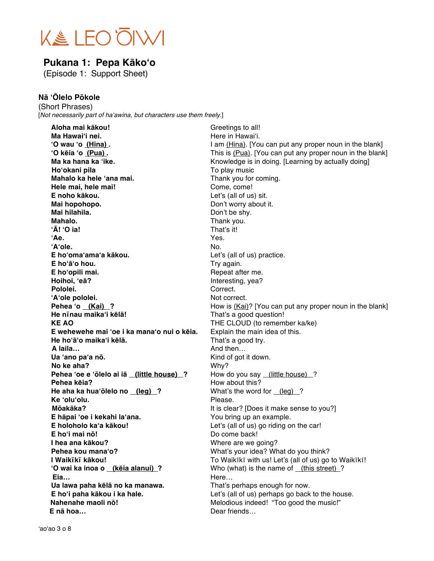

## **Pukana 1: Pepa Kākoʻo**

(Episode 1: Support Sheet)

### **Nā ʻŌlelo Pōkole**

(Short Phrases) [*Not necessarily part of ha*ʻ*awina, but characters use them freely.*]

**Aloha mai kākou!** Greetings to all! **Ma Hawai**<sup>'</sup>**i nei. Ma Hawai**<sup>'</sup>i. **ʻO wau ʻo (Hina) .** I am (Hina). [You can put any proper noun in the blank] **<sup>•</sup>O kēia <sup>•</sup>o (Pua) .** This is (Pua). [You can put any proper noun in the blank] **Ma ka hana ka 'ike.** Knowledge is in doing. [Learning by actually doing] **Ho**<sup>*'*</sup>**okani pila** To play music **Mahalo ka hele 'ana mai.** Thank you for coming. **Hele mai, hele mai!** Come, come! **E noho kākou.** Let's (all of us) sit. **Mai hopohopo.** Don't worry about it. **Mai hilahila.** Don't be shy. **Mahalo.** Thank you. **ʻĀ! ʻO ia!** That's it! **ʻAe.** Yes. **ʻAʻole.** No. **E hoʻomaʻamaʻa kākou.** Let's (all of us) practice. **E hoʻāʻo hou.** Try again. **E** ho'opili mai. **E** ho'opili mai. **Hoihoi, 'eā?** Interesting, yea? Pololei. **Correct. Pololei. Correct. ʻAʻole pololei.** Not correct. **Pehea 'o (Kai) ?** How is (Kai)? [You can put any proper noun in the blank] **He nīnau maikaʻi kēlā!** That's a good question! **KE AO** THE CLOUD (to remember ka/ke) **E wehewehe mai ʻoe i ka manaʻo nui o kēia.** Explain the main idea of this. **He hoʻāʻo maikaʻi kēlā.** That's a good try. **A laila…** And then… **Ua ʻano paʻa nō.** Kind of got it down. **No ke aha?** Why? **Pehea ʻoe e ʻōlelo ai iā (little house) ?** How do you say (little house) ? **Pehea kēia?** How about this? **He aha ka hua**<sup>*i*</sup>**olelo no (leg) ?** What's the word for (leg) ? **Ke ʻoluʻolu.** Please. **Mōakāka?** It is clear? [Does it make sense to you?] **E hāpai 'oe i kekahi la'ana.** You bring up an example. **E holoholo kaʻa kākou!** Let's (all of us) go riding on the car! **E hoʻi mai nō!** Do come back! **I hea ana kākou?** Where are we going? **Pehea kou mana'o? What's your idea? What do you think? I Waikīkī kākou!**<br> **I Waikīkī kā kou!**<br> **I Weiki** with us! Let's (all of us) go to Waikīkī!<br> **I Weiki** with us! Let's (all of us) go to Waikīkī! **Who (what) is the name of (this street) ? Eia…** Here… **Ua lawa paha kēlā no ka manawa.** That's perhaps enough for now. **E hoʻi paha kākou i ka hale.** Let's (all of us) perhaps go back to the house. **Nahenahe maoli nō!** Melodious indeed! "Too good the music!" **E nā hoa…** Dear friends…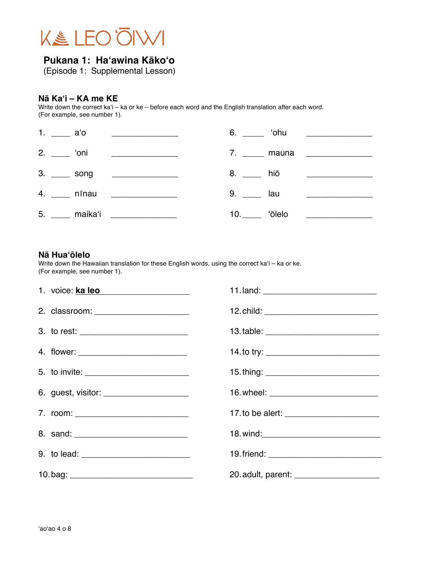

(Episode 1: Supplemental Lesson)

## **Nā Kaʻi – KA me KE**

Write down the correct kaʻi – ka or ke – before each word and the English translation after each word. (For example, see number 1).

| 1. $a'$ |                                     |                   | 6. ______ 'ohu ________________                                                                                     |
|---------|-------------------------------------|-------------------|---------------------------------------------------------------------------------------------------------------------|
|         | 2. $\frac{1}{2}$ oni $\frac{1}{2}$  |                   | 7. ______ mauna ________________                                                                                    |
|         | 3. ______ song ____________________ | 8. ____ hiō       | <u> 1986 - John Harry Harry Harry Harry Harry Harry Harry Harry Harry Harry Harry Harry Harry Harry Harry Harry</u> |
|         | 4. _____ nīnau _______________      | $9.$ $\qquad$ lau |                                                                                                                     |
|         | 5. _____ maika'i ______________     |                   |                                                                                                                     |

#### **Nā Huaʻōlelo**

Write down the Hawaiian translation for these English words, using the correct kaʻi – ka or ke. (For example, see number 1).

| 1. voice: ka leo                          |                                             |
|-------------------------------------------|---------------------------------------------|
| 2. classroom: _______________________     | 12. child: ________________________________ |
|                                           |                                             |
|                                           |                                             |
| 5. to invite: __________________________  |                                             |
| 6. guest, visitor: ______________________ |                                             |
| 7. room: ____________________________     |                                             |
|                                           |                                             |
|                                           |                                             |
|                                           | 20. adult, parent: ____________________     |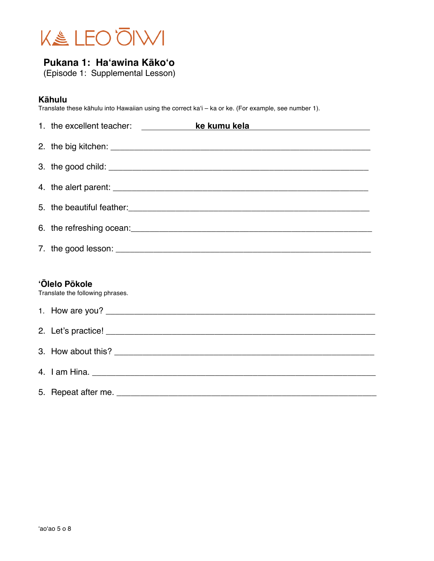

(Episode 1: Supplemental Lesson)

## **Kāhulu**

Translate these kāhulu into Hawaiian using the correct kaʻi – ka or ke. (For example, see number 1).

| 1. the excellent teacher: ____________            | ke kumu kela kalendera ke kumu kela                                                                                                                                                                                                  |
|---------------------------------------------------|--------------------------------------------------------------------------------------------------------------------------------------------------------------------------------------------------------------------------------------|
|                                                   |                                                                                                                                                                                                                                      |
|                                                   |                                                                                                                                                                                                                                      |
|                                                   |                                                                                                                                                                                                                                      |
|                                                   | 5. the beautiful feather: <b>contained a set of the set of the set of the set of the set of the set of the set of the set of the set of the set of the set of the set of the set of the set of the set of the set of the set of </b> |
|                                                   |                                                                                                                                                                                                                                      |
|                                                   |                                                                                                                                                                                                                                      |
|                                                   |                                                                                                                                                                                                                                      |
| 'Ōlelo Pōkole<br>Translate the following phrases. |                                                                                                                                                                                                                                      |
|                                                   |                                                                                                                                                                                                                                      |
|                                                   |                                                                                                                                                                                                                                      |
|                                                   |                                                                                                                                                                                                                                      |
|                                                   |                                                                                                                                                                                                                                      |
|                                                   |                                                                                                                                                                                                                                      |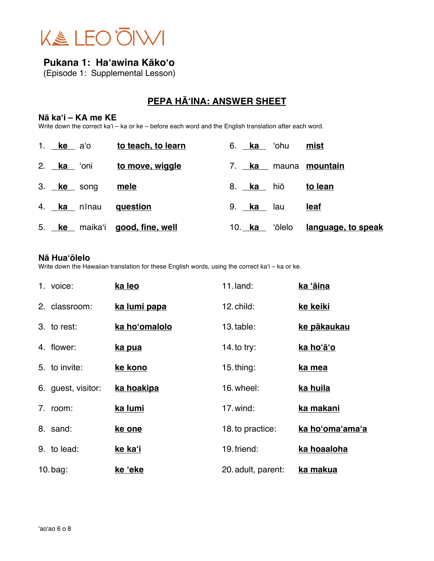

(Episode 1: Supplemental Lesson)

# **PEPA HĀʻINA: ANSWER SHEET**

## **Nā kaʻi – KA me KE**

Write down the correct kaʻi – ka or ke – before each word and the English translation after each word.

| 1. <b>ke</b> a'o |             | to teach, to learn             |                   | 6. <b>ka</b> 'ohu | mist                             |
|------------------|-------------|--------------------------------|-------------------|-------------------|----------------------------------|
| 2. ka 'oni       |             | <u>to move, wiggle</u>         |                   |                   | 7. ka mauna mountain             |
| 3. ke song       |             | <u>mele</u>                    | 8. <u>ka </u> hiō |                   | <u>to lean</u>                   |
|                  | 4. ka nīnau | question                       | 9. ka lau         |                   | <u>leaf</u>                      |
|                  |             | 5. ke maika'i good, fine, well |                   |                   | 10. ka 'ōlelo language, to speak |

### **Nā Huaʻōlelo**

Write down the Hawaiian translation for these English words, using the correct kaʻi – ka or ke.

| 1. voice:          | ka leo         | $11$ . land:       | ka 'āina        |
|--------------------|----------------|--------------------|-----------------|
| 2. classroom:      | ka lumi papa   | 12. child:         | ke keiki        |
| 3. to rest:        | ka ho'omalolo  | 13. table:         | ke pākaukau     |
| 4. flower:         | ka pua         | 14. to try:        | ka hoʻāʻo       |
| 5. to invite:      | ke kono        | $15.$ thing:       | ka mea          |
| 6. guest, visitor: | ka hoakipa     | 16. wheel:         | ka huila        |
| 7. room:           | ka lumi        | 17. wind:          | ka makani       |
| 8. sand:           | ke one         | 18. to practice:   | ka ho'oma'ama'a |
| 9. to lead:        | <u>ke kaʻi</u> | 19. friend:        | ka hoaaloha     |
| $10$ .bag:         | ke 'eke        | 20. adult, parent: | ka makua        |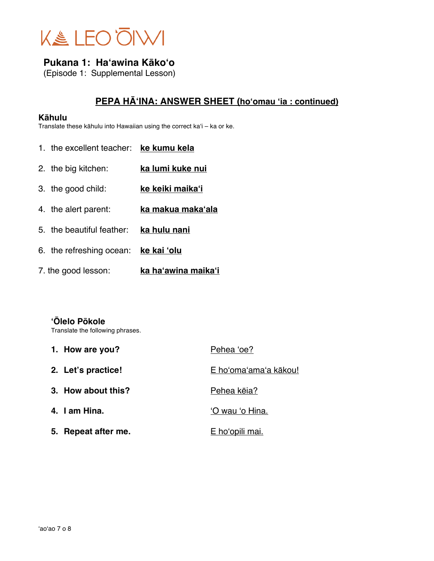

(Episode 1: Supplemental Lesson)

## **PEPA HĀʻINA: ANSWER SHEET (hoʻomau ʻia : continued)**

#### **Kāhulu**

Translate these kāhulu into Hawaiian using the correct kaʻi – ka or ke.

- 1. the excellent teacher: **ke kumu kela** 2. the big kitchen: **ka lumi kuke nui** 3. the good child: **ke keiki maikaʻi** 4. the alert parent: **ka makua makaʻala** 5. the beautiful feather: **ka hulu nani** 6. the refreshing ocean: **ke kai ʻolu**
- 7. the good lesson: **ka haʻawina maikaʻi**

## **ʻŌlelo Pōkole**

Translate the following phrases.

| 1. How are you?     | Pehea 'oe?             |
|---------------------|------------------------|
| 2. Let's practice!  | E ho'oma'ama'a kākou!  |
| 3. How about this?  | Pehea kēja?            |
| 4. I am Hina.       | 'O wau 'o Hina.        |
| 5. Repeat after me. | <u>E hoʻopili mai.</u> |